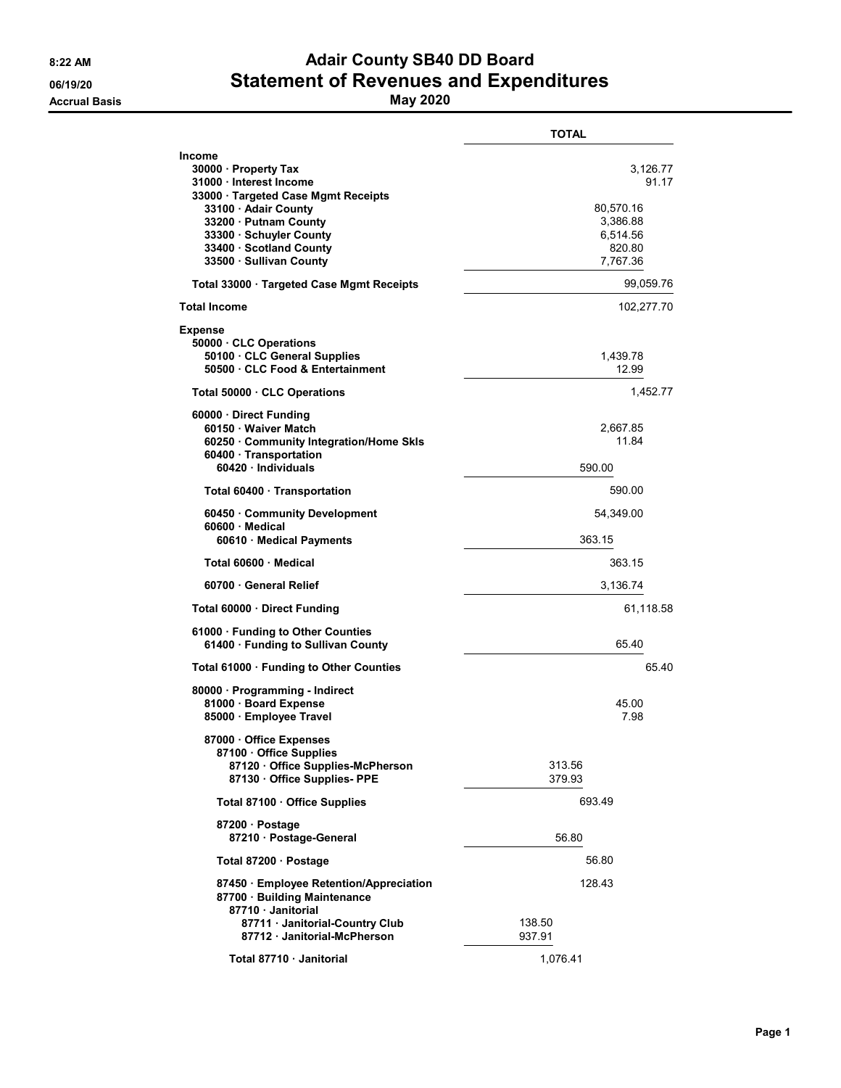## 8:22 AM **Adair County SB40 DD Board** 06/19/20 **Statement of Revenues and Expenditures**

|                                                                                                                                                                                                                              | TOTAL                                                                        |  |  |
|------------------------------------------------------------------------------------------------------------------------------------------------------------------------------------------------------------------------------|------------------------------------------------------------------------------|--|--|
| Income<br>30000 · Property Tax<br>31000 Interest Income<br>33000 Targeted Case Mgmt Receipts<br>33100 Adair County<br>33200 · Putnam County<br>33300 · Schuyler County<br>33400 · Scotland County<br>33500 · Sullivan County | 3,126.77<br>91.17<br>80,570.16<br>3,386.88<br>6,514.56<br>820.80<br>7,767.36 |  |  |
| Total 33000 · Targeted Case Mgmt Receipts                                                                                                                                                                                    | 99,059.76                                                                    |  |  |
| <b>Total Income</b>                                                                                                                                                                                                          | 102,277.70                                                                   |  |  |
| Expense<br>50000 CLC Operations<br>50100 · CLC General Supplies<br>50500 CLC Food & Entertainment                                                                                                                            | 1,439.78<br>12.99                                                            |  |  |
| Total 50000 CLC Operations                                                                                                                                                                                                   | 1,452.77                                                                     |  |  |
| 60000 Direct Funding<br>60150 · Waiver Match<br>60250 · Community Integration/Home Skls<br>60400 · Transportation<br>60420 Individuals                                                                                       | 2,667.85<br>11.84<br>590.00                                                  |  |  |
| Total 60400 · Transportation                                                                                                                                                                                                 | 590.00                                                                       |  |  |
| 60450 Community Development<br>60600 · Medical<br>60610 Medical Payments                                                                                                                                                     | 54,349.00<br>363.15                                                          |  |  |
| Total 60600 Medical                                                                                                                                                                                                          | 363.15                                                                       |  |  |
| 60700 General Relief                                                                                                                                                                                                         | 3,136.74                                                                     |  |  |
| Total 60000 · Direct Funding                                                                                                                                                                                                 | 61,118.58                                                                    |  |  |
| 61000 · Funding to Other Counties<br>61400 Funding to Sullivan County                                                                                                                                                        | 65.40                                                                        |  |  |
| Total 61000 · Funding to Other Counties                                                                                                                                                                                      | 65.40                                                                        |  |  |
| 80000 · Programming - Indirect<br>81000 · Board Expense<br>85000 · Employee Travel                                                                                                                                           | 45.00<br>7.98                                                                |  |  |
| 87000 · Office Expenses<br>87100 Office Supplies<br>87120 Office Supplies-McPherson<br>87130 · Office Supplies- PPE                                                                                                          | 313.56<br>379.93                                                             |  |  |
| Total 87100 · Office Supplies                                                                                                                                                                                                | 693.49                                                                       |  |  |
| 87200 Postage<br>87210 · Postage-General                                                                                                                                                                                     | 56.80                                                                        |  |  |
| Total 87200 · Postage                                                                                                                                                                                                        | 56.80                                                                        |  |  |
| 87450 Employee Retention/Appreciation<br>87700 · Building Maintenance<br>87710 Janitorial                                                                                                                                    | 128.43                                                                       |  |  |
| 87711 · Janitorial-Country Club<br>87712 · Janitorial-McPherson                                                                                                                                                              | 138.50<br>937.91                                                             |  |  |
| Total 87710 · Janitorial                                                                                                                                                                                                     | 1,076.41                                                                     |  |  |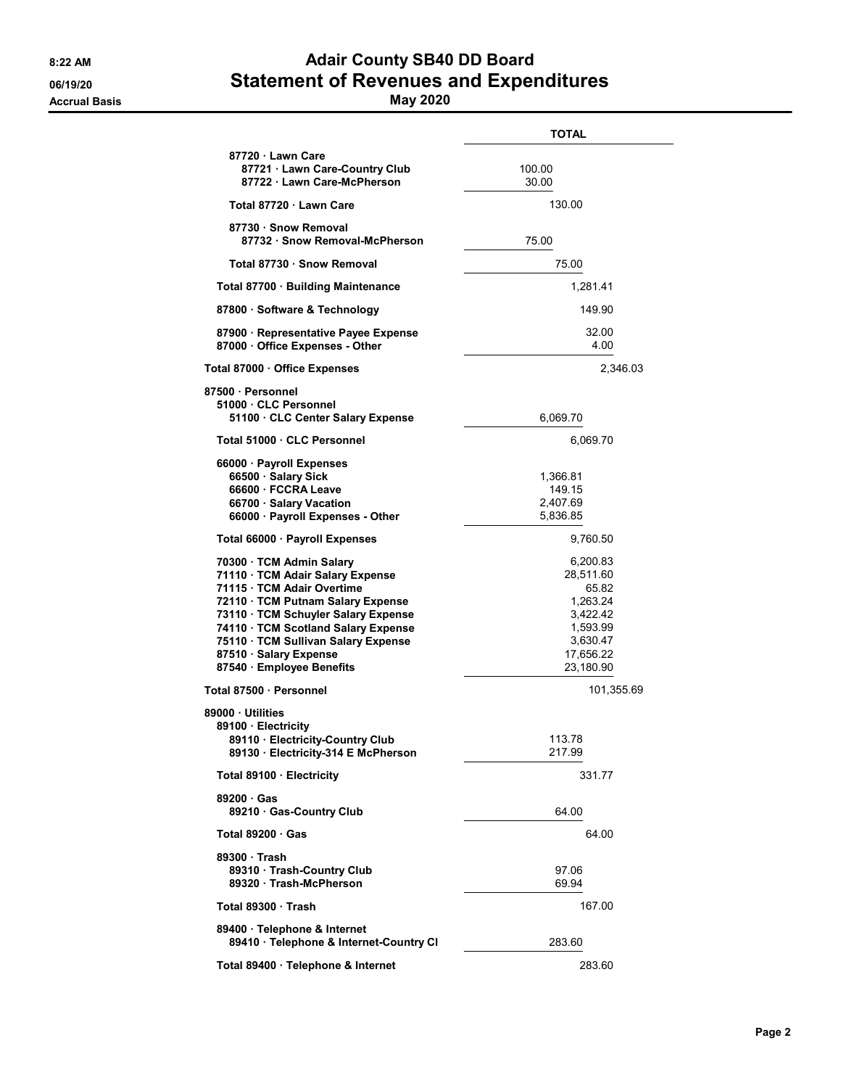## 8:22 AM **Adair County SB40 DD Board** 06/19/20 **Statement of Revenues and Expenditures**

|                                                                                                                                                                                                                                                                                                           | <b>TOTAL</b>                                                                                             |  |  |
|-----------------------------------------------------------------------------------------------------------------------------------------------------------------------------------------------------------------------------------------------------------------------------------------------------------|----------------------------------------------------------------------------------------------------------|--|--|
| 87720 · Lawn Care<br>87721 · Lawn Care-Country Club<br>87722 · Lawn Care-McPherson                                                                                                                                                                                                                        | 100.00<br>30.00                                                                                          |  |  |
| Total 87720 Lawn Care                                                                                                                                                                                                                                                                                     | 130.00                                                                                                   |  |  |
| 87730 · Snow Removal<br>87732 · Snow Removal-McPherson                                                                                                                                                                                                                                                    | 75.00                                                                                                    |  |  |
| Total 87730 · Snow Removal                                                                                                                                                                                                                                                                                | 75.00                                                                                                    |  |  |
| Total 87700 · Building Maintenance                                                                                                                                                                                                                                                                        | 1,281.41                                                                                                 |  |  |
| 87800 · Software & Technology                                                                                                                                                                                                                                                                             | 149.90                                                                                                   |  |  |
| 87900 · Representative Payee Expense<br>87000 Office Expenses - Other                                                                                                                                                                                                                                     | 32.00<br>4.00                                                                                            |  |  |
| Total 87000 · Office Expenses                                                                                                                                                                                                                                                                             | 2,346.03                                                                                                 |  |  |
| 87500 · Personnel<br>51000 CLC Personnel<br>51100 CLC Center Salary Expense                                                                                                                                                                                                                               | 6,069.70                                                                                                 |  |  |
| Total 51000 · CLC Personnel                                                                                                                                                                                                                                                                               | 6,069.70                                                                                                 |  |  |
| 66000 · Payroll Expenses<br>66500 · Salary Sick<br>66600 · FCCRA Leave<br>66700 · Salary Vacation<br>66000 · Payroll Expenses - Other                                                                                                                                                                     | 1,366.81<br>149.15<br>2.407.69<br>5,836.85                                                               |  |  |
| Total 66000 · Payroll Expenses                                                                                                                                                                                                                                                                            | 9,760.50                                                                                                 |  |  |
| 70300 · TCM Admin Salary<br>71110 · TCM Adair Salary Expense<br>71115 · TCM Adair Overtime<br>72110 · TCM Putnam Salary Expense<br>73110 · TCM Schuyler Salary Expense<br>74110 · TCM Scotland Salary Expense<br>75110 · TCM Sullivan Salary Expense<br>87510 · Salary Expense<br>87540 Employee Benefits | 6,200.83<br>28,511.60<br>65.82<br>1,263.24<br>3,422.42<br>1,593.99<br>3,630.47<br>17,656.22<br>23,180.90 |  |  |
| Total 87500 · Personnel                                                                                                                                                                                                                                                                                   | 101,355.69                                                                                               |  |  |
| 89000 Utilities<br>89100 · Electricity<br>89110 · Electricity-Country Club<br>89130 · Electricity-314 E McPherson                                                                                                                                                                                         | 113.78<br>217.99                                                                                         |  |  |
| Total 89100 · Electricity                                                                                                                                                                                                                                                                                 | 331.77                                                                                                   |  |  |
| 89200 Gas<br>89210 Gas-Country Club                                                                                                                                                                                                                                                                       | 64.00                                                                                                    |  |  |
| Total 89200 Gas                                                                                                                                                                                                                                                                                           | 64.00                                                                                                    |  |  |
| 89300 Trash<br>89310 Trash-Country Club<br>89320 · Trash-McPherson                                                                                                                                                                                                                                        | 97.06<br>69.94                                                                                           |  |  |
| Total 89300 Trash                                                                                                                                                                                                                                                                                         | 167.00                                                                                                   |  |  |
| 89400 · Telephone & Internet<br>89410 · Telephone & Internet-Country CI                                                                                                                                                                                                                                   | 283.60                                                                                                   |  |  |
| Total 89400 · Telephone & Internet                                                                                                                                                                                                                                                                        | 283.60                                                                                                   |  |  |